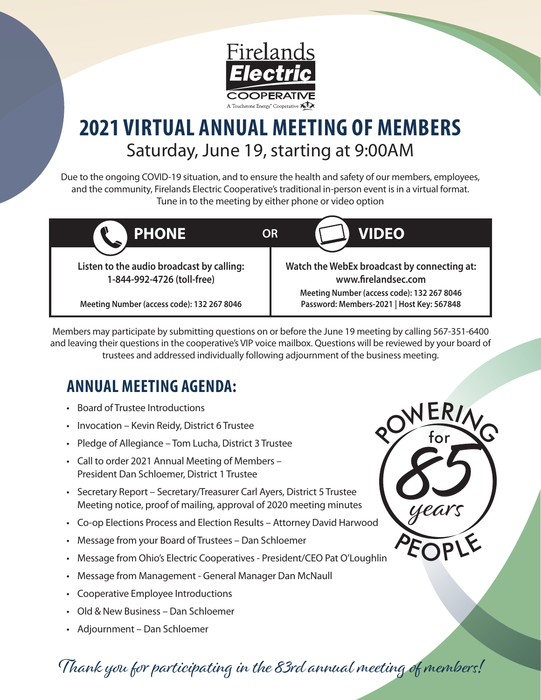

## **2021 VIRTUAL ANNUAL MEETING OF MEMBERS** Saturday, June 19, starting at 9:00AM

Due to the ongoing COVID-19 situation, and to ensure the health and safety of our members, employees, and the community, Firelands Electric Cooperative's traditional in-person event is in a virtual format. Tune in to the meeting by either phone or video option



Members may participate by submitting questions on or before the June 19 meeting by calling 567-351-6400 and leaving their questions in the cooperative's VIP voice mailbox. Questions will be reviewed by your board of trustees and addressed individually following adjournment of the business meeting.

## **ANNUAL MEETING AGENDA:**

- Board of Trustee Introductions
- Invocation Kevin Reidy, District 6 Trustee
- Pledge of Allegiance Tom Lucha, District 3 Trustee
- Call to order 2021 Annual Meeting of Members President Dan Schloemer, District 1 Trustee
- Secretary Report Secretary/Treasurer Carl Ayers, District 5 Trustee Meeting notice, proof of mailing, approval of 2020 meeting minutes
- Co-op Elections Process and Election Results Attorney David Harwood
- Message from your Board of Trustees Dan Schloemer
- Message from Ohio's Electric Cooperatives President/CEO Pat O'Loughlin
- Message from Management General Manager Dan McNaull
- Cooperative Employee Introductions
- Old & New Business Dan Schloemer
- Adjournment Dan Schloemer

POWERING PEOPLE Thank you for participating in the 83rd annual meeting of members!

88

5